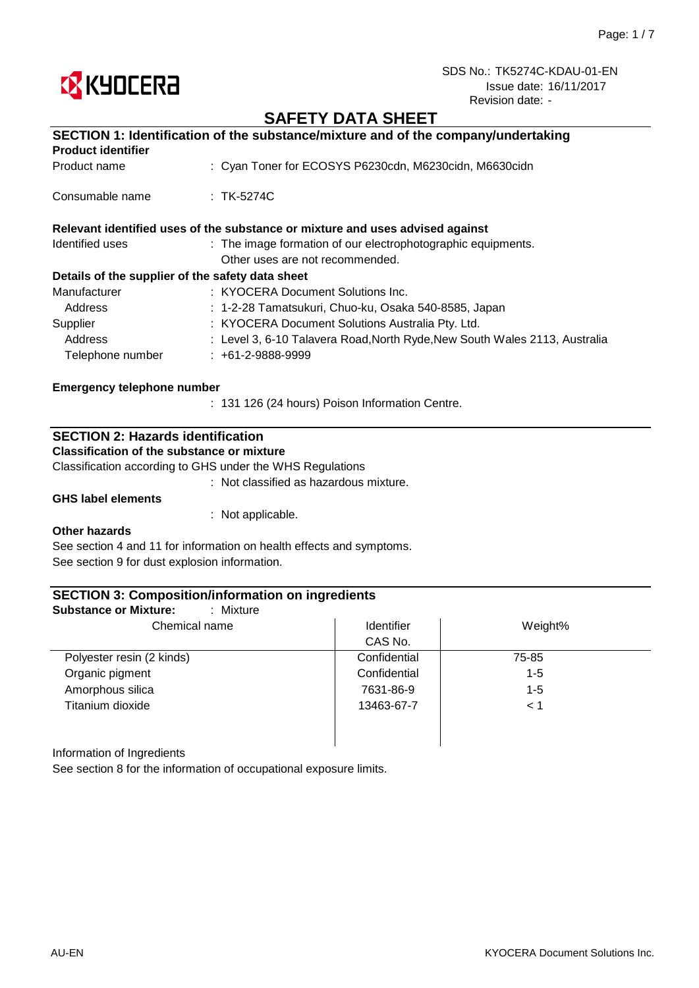

# **SAFETY DATA SHEET**

| SECTION 1: Identification of the substance/mixture and of the company/undertaking |                                                                               |  |
|-----------------------------------------------------------------------------------|-------------------------------------------------------------------------------|--|
| <b>Product identifier</b>                                                         |                                                                               |  |
| Product name                                                                      | : Cyan Toner for ECOSYS P6230cdn, M6230cidn, M6630cidn                        |  |
| Consumable name                                                                   | $\therefore$ TK-5274C                                                         |  |
|                                                                                   | Relevant identified uses of the substance or mixture and uses advised against |  |
| Identified uses                                                                   | : The image formation of our electrophotographic equipments.                  |  |
|                                                                                   | Other uses are not recommended.                                               |  |
| Details of the supplier of the safety data sheet                                  |                                                                               |  |
| Manufacturer                                                                      | : KYOCERA Document Solutions Inc.                                             |  |
| Address                                                                           | : 1-2-28 Tamatsukuri, Chuo-ku, Osaka 540-8585, Japan                          |  |
| Supplier                                                                          | : KYOCERA Document Solutions Australia Pty. Ltd.                              |  |
| Address                                                                           | : Level 3, 6-10 Talavera Road, North Ryde, New South Wales 2113, Australia    |  |
| Telephone number                                                                  | $: +61-2-9888-9999$                                                           |  |
| <b>Emergency telephone number</b>                                                 |                                                                               |  |
|                                                                                   | : 131 126 (24 hours) Poison Information Centre.                               |  |

## **SECTION 2: Hazards identification**

**Classification of the substance or mixture**

Classification according to GHS under the WHS Regulations

: Not classified as hazardous mixture.

**GHS label elements**

: Not applicable.

#### **Other hazards**

See section 4 and 11 for information on health effects and symptoms. See section 9 for dust explosion information.

### **SECTION 3: Composition/information on ingredients**

| : Mixture<br><b>Substance or Mixture:</b><br>Chemical name | <b>Identifier</b> | Weight% |
|------------------------------------------------------------|-------------------|---------|
|                                                            | CAS No.           |         |
| Polyester resin (2 kinds)                                  | Confidential      | 75-85   |
| Organic pigment                                            | Confidential      | $1 - 5$ |
| Amorphous silica                                           | 7631-86-9         | $1 - 5$ |
| Titanium dioxide                                           | 13463-67-7        | < 1     |
|                                                            |                   |         |

Information of Ingredients

See section 8 for the information of occupational exposure limits.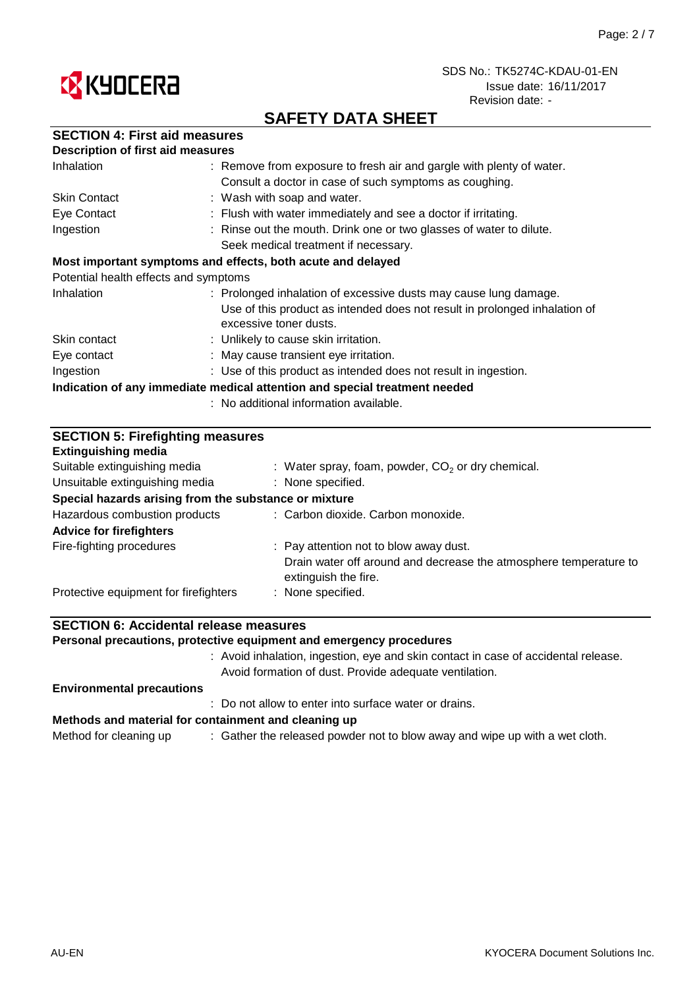



# **SAFETY DATA SHEET**

|  |  |  | <b>SECTION 4: First aid measures</b> |
|--|--|--|--------------------------------------|
|--|--|--|--------------------------------------|

| <b>Description of first aid measures</b>                                   |                                                                                                      |  |
|----------------------------------------------------------------------------|------------------------------------------------------------------------------------------------------|--|
| Inhalation                                                                 | : Remove from exposure to fresh air and gargle with plenty of water.                                 |  |
|                                                                            | Consult a doctor in case of such symptoms as coughing.                                               |  |
| <b>Skin Contact</b>                                                        | : Wash with soap and water.                                                                          |  |
| Eye Contact                                                                | : Flush with water immediately and see a doctor if irritating.                                       |  |
| Ingestion                                                                  | : Rinse out the mouth. Drink one or two glasses of water to dilute.                                  |  |
|                                                                            | Seek medical treatment if necessary.                                                                 |  |
|                                                                            | Most important symptoms and effects, both acute and delayed                                          |  |
| Potential health effects and symptoms                                      |                                                                                                      |  |
| Inhalation                                                                 | : Prolonged inhalation of excessive dusts may cause lung damage.                                     |  |
|                                                                            | Use of this product as intended does not result in prolonged inhalation of<br>excessive toner dusts. |  |
| Skin contact                                                               | : Unlikely to cause skin irritation.                                                                 |  |
| Eye contact                                                                | : May cause transient eye irritation.                                                                |  |
| Ingestion                                                                  | : Use of this product as intended does not result in ingestion.                                      |  |
| Indication of any immediate medical attention and special treatment needed |                                                                                                      |  |
| : No additional information available.                                     |                                                                                                      |  |

| <b>SECTION 5: Firefighting measures</b>               |                                                                                           |  |  |
|-------------------------------------------------------|-------------------------------------------------------------------------------------------|--|--|
| <b>Extinguishing media</b>                            |                                                                                           |  |  |
| Suitable extinguishing media                          | : Water spray, foam, powder, $CO2$ or dry chemical.                                       |  |  |
| Unsuitable extinguishing media                        | : None specified.                                                                         |  |  |
| Special hazards arising from the substance or mixture |                                                                                           |  |  |
| Hazardous combustion products                         | : Carbon dioxide. Carbon monoxide.                                                        |  |  |
| <b>Advice for firefighters</b>                        |                                                                                           |  |  |
| Fire-fighting procedures                              | : Pay attention not to blow away dust.                                                    |  |  |
|                                                       | Drain water off around and decrease the atmosphere temperature to<br>extinguish the fire. |  |  |
| Protective equipment for firefighters                 | : None specified.                                                                         |  |  |

## **SECTION 6: Accidental release measures**

**Personal precautions, protective equipment and emergency procedures**

: Avoid inhalation, ingestion, eye and skin contact in case of accidental release. Avoid formation of dust. Provide adequate ventilation.

#### **Environmental precautions**

: Do not allow to enter into surface water or drains.

#### **Methods and material for containment and cleaning up**

Method for cleaning up  $\qquad \qquad :$  Gather the released powder not to blow away and wipe up with a wet cloth.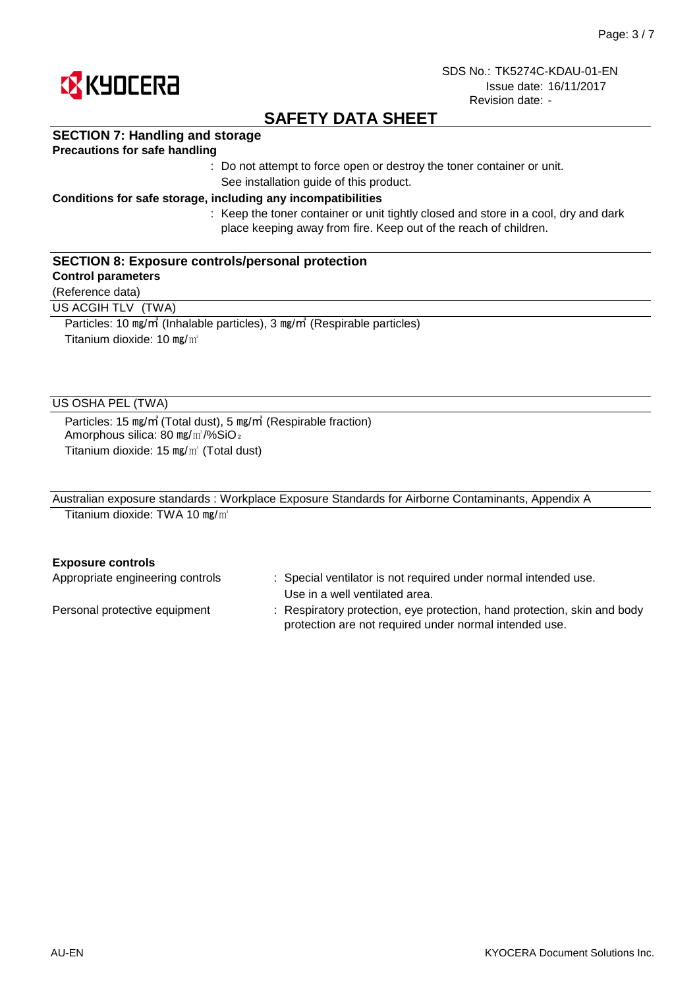

# **SAFETY DATA SHEET**

### **SECTION 7: Handling and storage**

### **Precautions for safe handling**

: Do not attempt to force open or destroy the toner container or unit. See installation guide of this product.

#### **Conditions for safe storage, including any incompatibilities**

: Keep the toner container or unit tightly closed and store in a cool, dry and dark place keeping away from fire. Keep out of the reach of children.

### **SECTION 8: Exposure controls/personal protection**

### **Control parameters**

(Reference data)

US ACGIH TLV (TWA)

Particles: 10 ㎎/㎥ (Inhalable particles), 3 ㎎/㎥ (Respirable particles) Titanium dioxide: 10 mg/m<sup>3</sup>

### US OSHA PEL (TWA)

Particles: 15 ㎎/㎥ (Total dust), 5 ㎎/㎥ (Respirable fraction) Amorphous silica: 80 mg/m<sup>3</sup>/%SiO<sub>2</sub> Titanium dioxide: 15 ㎎/㎥ (Total dust)

| Australian exposure standards: Workplace Exposure Standards for Airborne Contaminants, Appendix A |  |
|---------------------------------------------------------------------------------------------------|--|
| Titanium dioxide: TWA 10 mg/ $m^3$                                                                |  |

#### **Exposure controls**

| Appropriate engineering controls | : Special ventilator is not required under normal intended use.<br>Use in a well ventilated area.                                  |
|----------------------------------|------------------------------------------------------------------------------------------------------------------------------------|
| Personal protective equipment    | : Respiratory protection, eye protection, hand protection, skin and body<br>protection are not required under normal intended use. |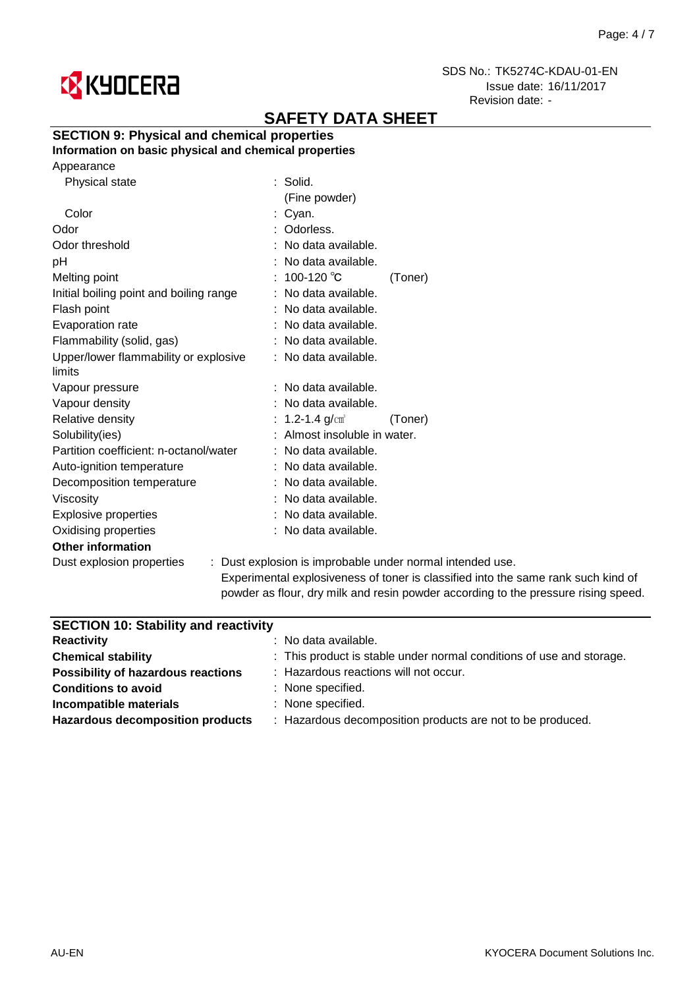

# **SAFETY DATA SHEET**

## **SECTION 9: Physical and chemical properties**

**Information on basic physical and chemical properties**

| Physical state                          | : Solid.                                       |
|-----------------------------------------|------------------------------------------------|
|                                         | (Fine powder)                                  |
| Color                                   | : Cyan.                                        |
| Odor                                    | Odorless.                                      |
| Odor threshold                          | : No data available.                           |
| рH                                      | : No data available.                           |
| Melting point                           | : 100-120 ℃<br>(Toner)                         |
| Initial boiling point and boiling range | : No data available.                           |
| Flash point                             | : No data available.                           |
| Evaporation rate                        | : No data available.                           |
| Flammability (solid, gas)               | : No data available.                           |
| Upper/lower flammability or explosive   | : No data available.                           |
| limits                                  |                                                |
| Vapour pressure                         | No data available.                             |
| Vapour density                          | : No data available.                           |
| Relative density                        | : 1.2-1.4 $g/cm^{3}$<br>(Toner)                |
| Solubility(ies)                         | Almost insoluble in water.                     |
| Partition coefficient: n-octanol/water  | : No data available.                           |
| Auto-ignition temperature               | No data available.                             |
| Decomposition temperature               | : No data available.                           |
| Viscosity                               | : No data available.                           |
| <b>Explosive properties</b>             | : No data available.                           |
| Oxidising properties                    | : No data available.                           |
| <b>Other information</b>                |                                                |
| Dust explosion properties               | : Dust explosion is improbable under normal in |
|                                         |                                                |

ntended use. Experimental explosiveness of toner is classified into the same rank such kind of powder as flour, dry milk and resin powder according to the pressure rising speed.

| <b>SECTION 10: Stability and reactivity</b>                          |  |  |  |
|----------------------------------------------------------------------|--|--|--|
| $:$ No data available.                                               |  |  |  |
| : This product is stable under normal conditions of use and storage. |  |  |  |
| : Hazardous reactions will not occur.                                |  |  |  |
| : None specified.                                                    |  |  |  |
| : None specified.                                                    |  |  |  |
| : Hazardous decomposition products are not to be produced.           |  |  |  |
|                                                                      |  |  |  |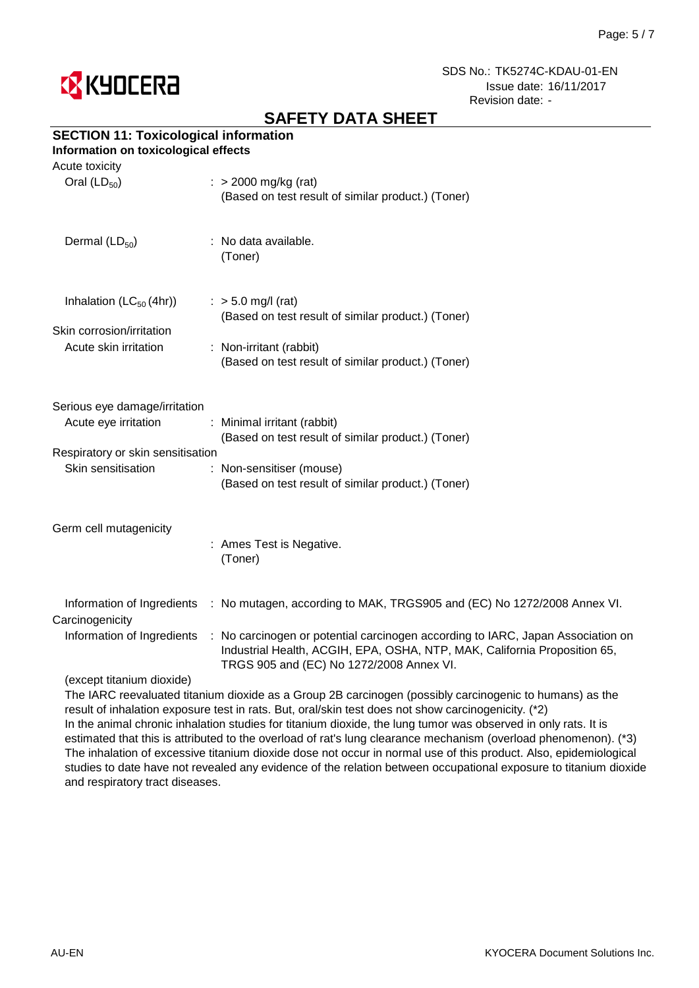

# **SAFETY DATA SHEET**

## **SECTION 11: Toxicological information**

### **Information on toxicological effects**

| Acute toxicity                                        |                                                                                                                                                                                                          |
|-------------------------------------------------------|----------------------------------------------------------------------------------------------------------------------------------------------------------------------------------------------------------|
| Oral $(LD_{50})$                                      | $\therefore$ > 2000 mg/kg (rat)<br>(Based on test result of similar product.) (Toner)                                                                                                                    |
| Dermal $(LD_{50})$                                    | : No data available.<br>(Toner)                                                                                                                                                                          |
| Inhalation $(LC_{50}(4hr))$                           | $:$ > 5.0 mg/l (rat)<br>(Based on test result of similar product.) (Toner)                                                                                                                               |
| Skin corrosion/irritation<br>Acute skin irritation    | : Non-irritant (rabbit)<br>(Based on test result of similar product.) (Toner)                                                                                                                            |
| Serious eye damage/irritation<br>Acute eye irritation | : Minimal irritant (rabbit)                                                                                                                                                                              |
| Respiratory or skin sensitisation                     | (Based on test result of similar product.) (Toner)                                                                                                                                                       |
| Skin sensitisation                                    | : Non-sensitiser (mouse)<br>(Based on test result of similar product.) (Toner)                                                                                                                           |
| Germ cell mutagenicity                                | : Ames Test is Negative.<br>(Toner)                                                                                                                                                                      |
| Carcinogenicity                                       | Information of Ingredients : No mutagen, according to MAK, TRGS905 and (EC) No 1272/2008 Annex VI.                                                                                                       |
| Information of Ingredients                            | : No carcinogen or potential carcinogen according to IARC, Japan Association on<br>Industrial Health, ACGIH, EPA, OSHA, NTP, MAK, California Proposition 65,<br>TRGS 905 and (EC) No 1272/2008 Annex VI. |
| (except titanium dioxide).                            |                                                                                                                                                                                                          |

t titanium dioxide)

The IARC reevaluated titanium dioxide as a Group 2B carcinogen (possibly carcinogenic to humans) as the result of inhalation exposure test in rats. But, oral/skin test does not show carcinogenicity. (\*2) In the animal chronic inhalation studies for titanium dioxide, the lung tumor was observed in only rats. It is estimated that this is attributed to the overload of rat's lung clearance mechanism (overload phenomenon). (\*3) The inhalation of excessive titanium dioxide dose not occur in normal use of this product. Also, epidemiological studies to date have not revealed any evidence of the relation between occupational exposure to titanium dioxide and respiratory tract diseases.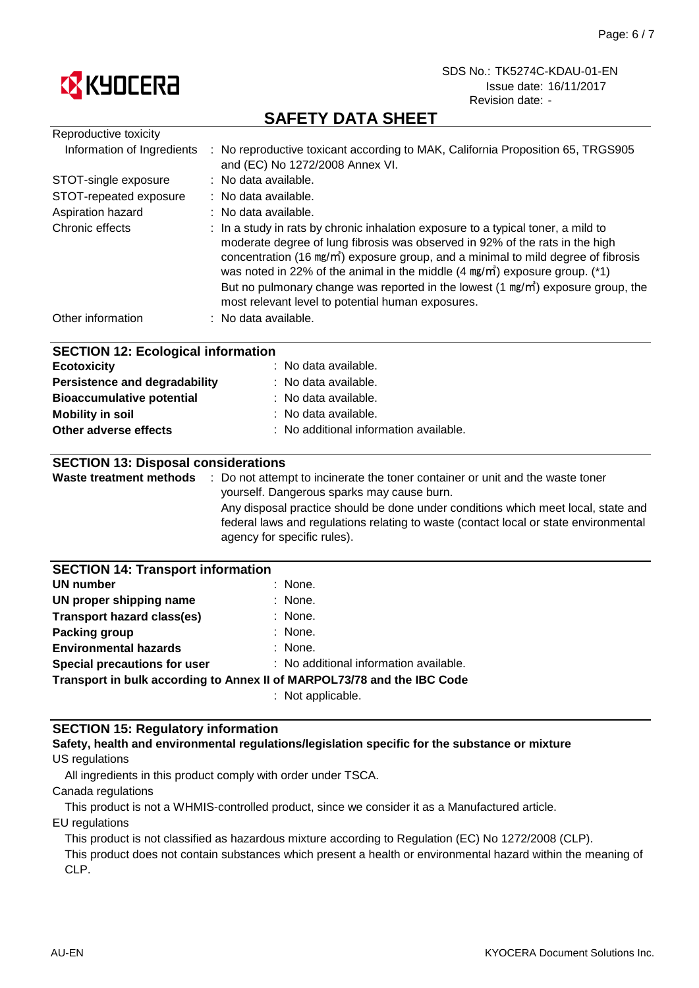

# **SAFETY DATA SHEET**

| Reproductive toxicity                                                                                                                                                                                                                         |                                                                                                                                                                                                                                                                                                                                                                                                                                                                                                                     |
|-----------------------------------------------------------------------------------------------------------------------------------------------------------------------------------------------------------------------------------------------|---------------------------------------------------------------------------------------------------------------------------------------------------------------------------------------------------------------------------------------------------------------------------------------------------------------------------------------------------------------------------------------------------------------------------------------------------------------------------------------------------------------------|
| Information of Ingredients                                                                                                                                                                                                                    | : No reproductive toxicant according to MAK, California Proposition 65, TRGS905<br>and (EC) No 1272/2008 Annex VI.                                                                                                                                                                                                                                                                                                                                                                                                  |
| STOT-single exposure                                                                                                                                                                                                                          | : No data available.                                                                                                                                                                                                                                                                                                                                                                                                                                                                                                |
| STOT-repeated exposure                                                                                                                                                                                                                        | : No data available.                                                                                                                                                                                                                                                                                                                                                                                                                                                                                                |
| Aspiration hazard                                                                                                                                                                                                                             | : No data available.                                                                                                                                                                                                                                                                                                                                                                                                                                                                                                |
| Chronic effects                                                                                                                                                                                                                               | : In a study in rats by chronic inhalation exposure to a typical toner, a mild to<br>moderate degree of lung fibrosis was observed in 92% of the rats in the high<br>concentration (16 mg/m <sup>3</sup> ) exposure group, and a minimal to mild degree of fibrosis<br>was noted in 22% of the animal in the middle $(4 \text{ mg/m}^3)$ exposure group. (*1)<br>But no pulmonary change was reported in the lowest (1 mg/m <sup>3</sup> ) exposure group, the<br>most relevant level to potential human exposures. |
| Other information                                                                                                                                                                                                                             | : No data available.                                                                                                                                                                                                                                                                                                                                                                                                                                                                                                |
| <b>SECTION 12: Ecological information</b><br><b>Ecotoxicity</b><br><b>Persistence and degradability</b><br><b>Bioaccumulative potential</b><br><b>Mobility in soil</b><br>Other adverse effects<br><b>SECTION 13: Disposal considerations</b> | No data available.<br>No data available.<br>No data available.<br>No data available.<br>: No additional information available.                                                                                                                                                                                                                                                                                                                                                                                      |
| <b>Waste treatment methods</b>                                                                                                                                                                                                                | : Do not attempt to incinerate the toner container or unit and the waste toner                                                                                                                                                                                                                                                                                                                                                                                                                                      |
|                                                                                                                                                                                                                                               | yourself. Dangerous sparks may cause burn.                                                                                                                                                                                                                                                                                                                                                                                                                                                                          |
|                                                                                                                                                                                                                                               | Any disposal practice should be done under conditions which meet local, state and<br>federal laws and regulations relating to waste (contact local or state environmental<br>agency for specific rules).                                                                                                                                                                                                                                                                                                            |
| <b>SECTION 14: Transport information</b>                                                                                                                                                                                                      |                                                                                                                                                                                                                                                                                                                                                                                                                                                                                                                     |
| <b>UN number</b>                                                                                                                                                                                                                              | None.                                                                                                                                                                                                                                                                                                                                                                                                                                                                                                               |
| UN proper shipping name                                                                                                                                                                                                                       | None.                                                                                                                                                                                                                                                                                                                                                                                                                                                                                                               |
| <b>Transport hazard class(es)</b>                                                                                                                                                                                                             | None.                                                                                                                                                                                                                                                                                                                                                                                                                                                                                                               |
| <b>Packing group</b>                                                                                                                                                                                                                          | None.                                                                                                                                                                                                                                                                                                                                                                                                                                                                                                               |
| <b>Environmental hazards</b>                                                                                                                                                                                                                  | : None.                                                                                                                                                                                                                                                                                                                                                                                                                                                                                                             |
| Special precautions for user                                                                                                                                                                                                                  | : No additional information available.                                                                                                                                                                                                                                                                                                                                                                                                                                                                              |
|                                                                                                                                                                                                                                               | Transport in bulk according to Annex II of MARPOL73/78 and the IBC Code                                                                                                                                                                                                                                                                                                                                                                                                                                             |

: Not applicable.

### **SECTION 15: Regulatory information**

#### US regulations **Safety, health and environmental regulations/legislation specific for the substance or mixture**

All ingredients in this product comply with order under TSCA.

Canada regulations

This product is not a WHMIS-controlled product, since we consider it as a Manufactured article.

EU regulations

This product is not classified as hazardous mixture according to Regulation (EC) No 1272/2008 (CLP).

This product does not contain substances which present a health or environmental hazard within the meaning of CLP.